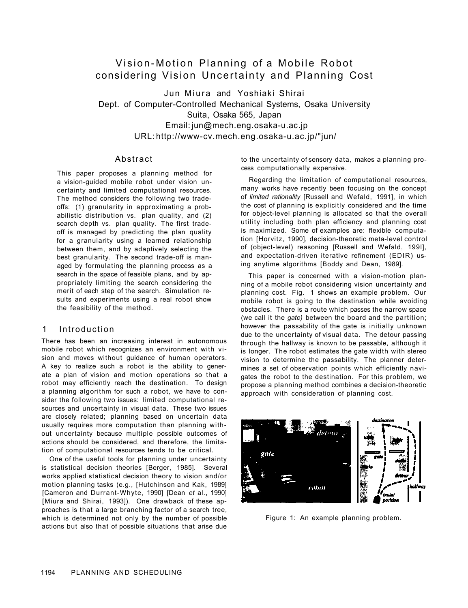# Vision-Motion Planning of a Mobile Robot considering Vision Uncertainty and Planning Cost

Jun Miura and Yoshiaki Shirai Dept. of Computer-Controlled Mechanical Systems, Osaka University Suita, Osaka 565, Japan Email: jun@mech.eng.osaka-u.ac.jp URL: http://www-cv.mech.eng.osaka-u.ac.jp/"jun/

## Abstract

This paper proposes a planning method for a vision-guided mobile robot under vision uncertainty and limited computational resources. The method considers the following two tradeoffs: (1) granularity in approximating a probabilistic distribution vs. plan quality, and (2) search depth vs. plan quality. The first tradeoff is managed by predicting the plan quality for a granularity using a learned relationship between them, and by adaptively selecting the best granularity. The second trade-off is managed by formulating the planning process as a search in the space of feasible plans, and by appropriately limiting the search considering the merit of each step of the search. Simulation results and experiments using a real robot show the feasibility of the method.

### 1 Introduction

There has been an increasing interest in autonomous mobile robot which recognizes an environment with vision and moves without guidance of human operators. A key to realize such a robot is the ability to generate a plan of vision and motion operations so that a robot may efficiently reach the destination. To design a planning algorithm for such a robot, we have to consider the following two issues: limited computational resources and uncertainty in visual data. These two issues are closely related; planning based on uncertain data usually requires more computation than planning without uncertainty because multiple possible outcomes of actions should be considered, and therefore, the limitation of computational resources tends to be critical.

One of the useful tools for planning under uncertainty is statistical decision theories [Berger, 1985]. Several works applied statistical decision theory to vision and/or motion planning tasks (e.g., [Hutchinson and Kak, 1989] [Cameron and Durrant-Whyte, 1990] [Dean *et* al., 1990] [Miura and Shirai, 1993]). One drawback of these approaches is that a large branching factor of a search tree, which is determined not only by the number of possible actions but also that of possible situations that arise due to the uncertainty of sensory data, makes a planning process computationally expensive.

Regarding the limitation of computational resources, many works have recently been focusing on the concept of *limited rationality* [Russell and Wefald, 1991], in which the cost of planning is explicitly considered and the time for object-level planning is allocated so that the overall utility including both plan efficiency and planning cost is maximized. Some of examples are: flexible computation [Horvitz, 1990], decision-theoretic meta-level control of (object-level) reasoning [Russell and Wefald, 199l], and expectation-driven iterative refinement (EDIR) using anytime algorithms [Boddy and Dean, 1989].

This paper is concerned with a vision-motion planning of a mobile robot considering vision uncertainty and planning cost. Fig. 1 shows an example problem. Our mobile robot is going to the destination while avoiding obstacles. There is a route which passes the narrow space (we call it the *gate)* between the board and the partition; however the passability of the gate is initially unknown due to the uncertainty of visual data. The detour passing through the hallway is known to be passable, although it is longer. The robot estimates the gate width with stereo vision to determine the passability. The planner determines a set of observation points which efficiently navigates the robot to the destination. For this problem, we propose a planning method combines a decision-theoretic approach with consideration of planning cost.



Figure 1: An example planning problem.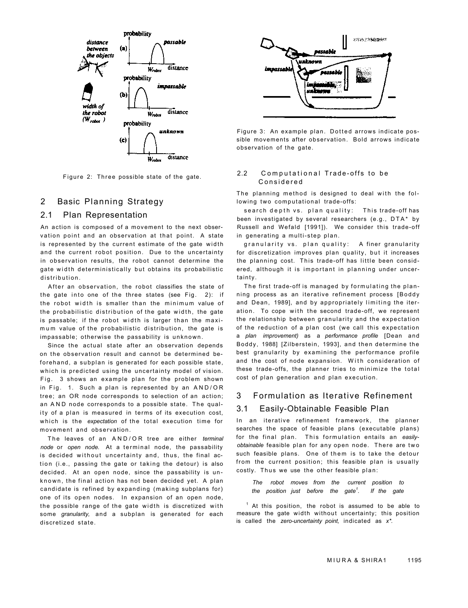

Figure 2: Three possible state of the gate.

### 2 Basic Planning Strategy

## 2.1 Plan Representation

An action is composed of a movement to the next observation point and an observation at that point. A state is represented by the current estimate of the gate width and the current robot position. Due to the uncertainty in observation results, the robot cannot determine the gate width deterministically but obtains its probabilistic distribution .

After an observation, the robot classifies the state of the gate into one of the three states (see Fig.  $2$ ): if the robot width is smaller than the minimum value of the probabilistic distribution of the gate width, the gate is passable; if the robot width is larger than the maximum value of the probabilistic distribution, the gate is impassable; otherwise the passability is unknown .

Since the actual state after an observation depends on the observation result and cannot be determined beforehand, a subplan is generated for each possible state, which is predicted using the uncertainty model of vision. Fig. 3 shows an example plan for the problem shown in Fig. 1. Such a plan is represented by an  $AND/OR$ tree; an OR node corresponds to selection of an action; an AND node corresponds to a possible state. The quality of a plan is measured in terms of its execution cost, which is the expectation of the total execution time for movement and observation.

The leaves of an AND/OR tree are either *terminal node* or *open node*. At a terminal node, the passability is decided without uncertainty and, thus, the final action (i.e., passing the gate or taking the detour) is also decided. At an open node, since the passability is unknown, the final action has not been decided yet. A plan candidate is refined by expanding (making subplans for) one of its open nodes. In expansion of an open node, the possible range of the gate width is discretized with some *granularity,* and a subplan is generated for each discretized state.



Figure 3: An example plan. Dotted arrows indicate possible movements after observation. Bold arrows indicate observation of the gate.

#### 2.2 Computational Trade-offs to be Considere d

The planning method is designed to deal with the following two computational trade-offs:

search depth vs. plan quality: This trade-off has been investigated by several researchers (e.g., DTA\* by Russell and Wefald [1991]). We consider this trade-off in generating a multi-step plan.

granularity vs. plan quality: A finer granularity for discretization improves plan quality, but it increases the planning cost. This trade-off has little been considered, although it is important in planning under uncertainty.

The first trade-off is managed by formulating the planning process as an iterative refinement process [Boddy and Dean, 1989], and by appropriately limiting the iteration. To cope with the second trade-off, we represent the relationship between granularity and the expectation of the reduction of a plan cost (we call this expectation a *plan improvement)* as a *performance profile* [Dean and Boddy, 1988] [Zilberstein, 1993], and then determine the best granularity by examining the performance profile and the cost of node expansion. With consideration of these trade-offs, the planner tries to minimize the total cost of plan generation and plan execution.

## 3 Formulation as Iterative Refinement

#### 3.1 Easily-Obtainable Feasible Plan

In an iterative refinement framework, the planner searches the space of feasible plans (executable plans) for the final plan. This formulation entails an easily*obtainable* feasible plan for any open node. There are tw o such feasible plans. One of them is to take the detour from the current position; this feasible plan is usually costly. Thus we use the other feasible plan:

*The robot moves from the current position to the position just before the gate<sup>1</sup> . If the gate* 

 $<sup>1</sup>$  At this position, the robot is assumed to be able to</sup> measure the gate width without uncertainty; this position is called the *zero-uncertainty point,* indicated as *x\*.*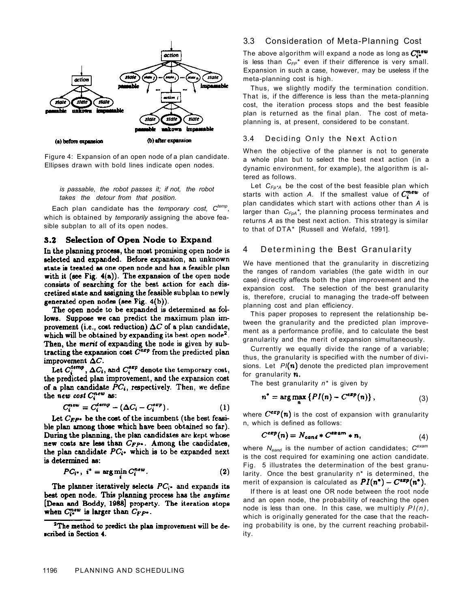

Figure 4: Expansion of an open node of a plan candidate. Ellipses drawn with bold lines indicate open nodes.

*is passable, the robot passes it; if not, the robot takes the detour from that position.* 

Each plan candidate has the *temporary cost, Ctemp* , which is obtained by *temporarily* assigning the above feasible subplan to all of its open nodes.

## 3.2 Selection of Open Node to Expand

In the planning process, the most promising open node is selected and expanded. Before expansion, an unknown state is treated as one open node and has a feasible plan with it (see Fig.  $4(a)$ ). The expansion of the open node consists of searching for the best action for each discretized state and assigning the feasible subplan to newly generated open nodes (see Fig. 4(b)).

The open node to be expanded is determined as follows. Suppose we can predict the maximum plan improvement (i.e., cost reduction)  $\Delta C$  of a plan candidate, which will be obtained by expanding its best open node<sup>2</sup>. Then, the merit of expanding the node is given by subtracting the expansion cost  $C^{\alpha x p}$  from the predicted plan improvement  $\Delta C$ .

Let  $C_i^{temp}$ ,  $\Delta C_i$ , and  $C_i^{exp}$  denote the temporary cost, the predicted plan improvement, and the expansion cost of a plan candidate  $PC_i$ , respectively. Then, we define the new cost Cnew as:

$$
C_i^{new} = C_i^{temp} - (\Delta C_i - C_i^{exp}). \qquad (1)
$$

Let  $C_{EP}$ . be the cost of the incumbent (the best feasible plan among those which have been obtained so far). During the planning, the plan candidates are kept whose new costs are less than  $C_{FP^*}$ . Among the candidates, the plan candidate  $PC_i$ . which is to be expanded next is determined as:

$$
PC_{i^*}, i^* = \arg\min C_i^{new}.
$$
 (2)

The planner iteratively selects  $PC_i$ - and expands its best open node. This planning process has the anytime [Dean and Boddy, 1988] property. The iteration stops when  $C_i^{new}$  is larger than  $C_{FP^*}$ .

### 3.3 Consideration of Meta-Planning Cost

The above algorithm will expand a node as long as  $C^{\text{new}}$ is less than *CFP\** even if their difference is very small. Expansion in such a case, however, may be useless if the meta-planning cost is high.

Thus, we slightly modify the termination condition. That is, if the difference is less than the meta-planning cost, the iteration process stops and the best feasible plan is returned as the final plan. The cost of metaplanning is, at present, considered to be constant.

#### 3.4 Deciding Only the Next Action

When the objective of the planner is not to generate a whole plan but to select the best next action (in a dynamic environment, for example), the algorithm is altered as follows.

Let *CFp\*A* be the cost of the best feasible plan which starts with action A. If the smallest value of  $C_i^{new}$  of plan candidates which start with actions other than *A* is larger than *CFpA\**, the planning process terminates and returns *A* as the best next action. This strategy is similar to that of DTA\* [Russell and Wefald, 1991].

#### 4 Determining the Best Granularity

We have mentioned that the granularity in discretizing the ranges of random variables (the gate width in our case) directly affects both the plan improvement and the expansion cost. The selection of the best granularity is, therefore, crucial to managing the trade-off between planning cost and plan efficiency.

This paper proposes to represent the relationship between the granularity and the predicted plan improvement as a performance profile, and to calculate the best granularity and the merit of expansion simultaneously.

Currently we equally divide the range of a variable; thus, the granularity is specified with the number of divisions. Let  $PI(n)$  denote the predicted plan improvement for granularity  $\boldsymbol{n}$ .

The best granularity *n\** is given by

۲

$$
u^* = \arg \max \{ PI(n) - C^{exp}(n) \}, \tag{3}
$$

where  $C^{exp}(n)$  is the cost of expansion with granularity n, which is defined as follows:

$$
C^{exp}(n) = N_{cand} * C^{exp(n)} * n,
$$
\n(4)

where *Neand* is the number of action candidates; *Cexam*  is the cost required for examining one action candidate. Fig. 5 illustrates the determination of the best granularity. Once the best granularity n\* is determined, the merit of expansion is calculated as  $PI(n^*) - C^{exp}(n^*)$ .

If there is at least one OR node between the root node and an open node, the probability of reaching the open node is less than one. In this case, we multiply *PI(n),*  which is originally generated for the case that the reaching probability is one, by the current reaching probability.

<sup>&</sup>lt;sup>2</sup>The method to predict the plan improvement will be described in Section 4.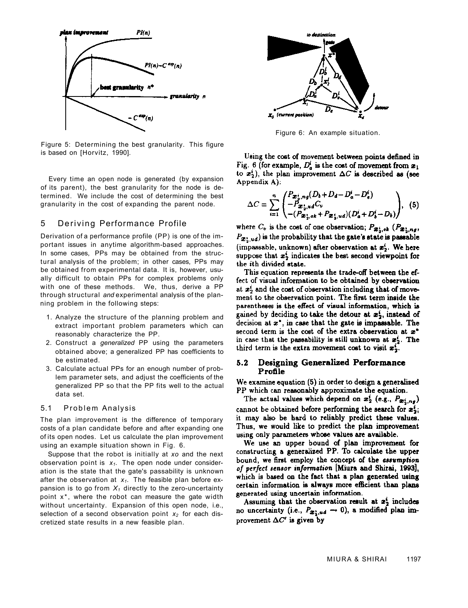

Figure 5: Determining the best granularity. This figure is based on [Horvitz, 1990].

Every time an open node is generated (by expansion of its parent), the best granularity for the node is determined. We include the cost of determining the best granularity in the cost of expanding the parent node.

## 5 Deriving Performance Profile

Derivation of a performance profile (PP) is one of the important issues in anytime algorithm-based approaches. In some cases, PPs may be obtained from the structural analysis of the problem; in other cases, PPs may be obtained from experimental data. It is, however, usually difficult to obtain PPs for complex problems only with one of these methods. We, thus, derive a PP through structural *and* experimental analysis of the planning problem in the following steps:

- 1. Analyze the structure of the planning problem and extract important problem parameters which can reasonably characterize the PP.
- 2. Construct a *generalized* PP using the parameters obtained above; a generalized PP has coefficients to be estimated.
- 3. Calculate actual PPs for an enough number of problem parameter sets, and adjust the coefficients of the generalized PP so that the PP fits well to the actual data set.

#### 5.1 Problem Analysis

The plan improvement is the difference of temporary costs of a plan candidate before and after expanding one of its open nodes. Let us calculate the plan improvement using an example situation shown in Fig. 6.

Suppose that the robot is initially at *xo* and the next observation point is *x1.* The open node under consideration is the state that the gate's passability is unknown after the observation at  $x_1$ . The feasible plan before expansion is to go from  $X_1$  directly to the zero-uncertainty point x\*, where the robot can measure the gate width without uncertainty. Expansion of this open node, i.e., selection of a second observation point *x2* for each discretized state results in a new feasible plan.



Figure 6: An example situation.

Using the cost of movement between points defined in Fig. 6 (for example,  $D_a^i$  is the cost of movement from  $x_1$ to  $x_2^i$ ), the plan improvement  $\Delta C$  is described as (see Appendix A):

$$
\Delta C = \sum_{i=1}^{n} \begin{pmatrix} P_{\bm{x}_i, ng} (D_b + D_d - D_a^i - D_e^i) \\ -P_{\bm{x}_i, ud} C_v \\ - (P_{\bm{x}_i, at} + P_{\bm{x}_i, ud}) (D_a^i + D_b^i - D_b) \end{pmatrix}, \quad (5)
$$

where  $C_v$  is the cost of one observation;  $P_{\mathbf{x}_v^i, \alpha k}$  ( $P_{\mathbf{x}_v^i, \alpha g}$ ,  $P_{\mathbf{z}^*,ud}$  is the probability that the gate's state is passable (impassable, unknown) after observation at  $x_2^i$ . We here suppose that  $x_2^i$  indicates the best second viewpoint for the ith divided state.

This equation represents the trade-off between the effect of visual information to be obtained by observation at x<sup>1</sup> and the cost of observation including that of movement to the observation point. The first term inside the parentheses is the effect of visual information, which is gained by deciding to take the detour at  $x_2^i$ , instead of decision at  $x^*$ , in case that the gate is impassable. The second term is the cost of the extra observation at x\* in case that the passability is still unknown at  $x_2^i$ . The third term is the extra movement cost to visit  $x_2^i$ .

#### Designing Generalized Performance 5.2 Profile

We examine equation (5) in order to design a generalized PP which can reasonably approximate the equation.

The actual values which depend on  $x_2^i$  (e.g.,  $P_{x_2^i, n_g}$ ) cannot be obtained before performing the search for  $x_2^2$ ; it may also be hard to reliably predict these values. Thus, we would like to predict the plan improvement using only parameters whose values are available.

We use an upper bound of plan improvement for constructing a generalized PP. To calculate the upper bound, we first employ the concept of the assumption of perfect sensor information [Miura and Shirai, 1993], which is based on the fact that a plan generated using certain information is always more efficient than plans generated using uncertain information.

Assuming that the observation result at  $x_2^i$  includes no uncertainty (i.e.,  $P_{\boldsymbol{x}_2^*,u\boldsymbol{d}}\to 0$ ), a modified plan improvement  $\Delta C'$  is given by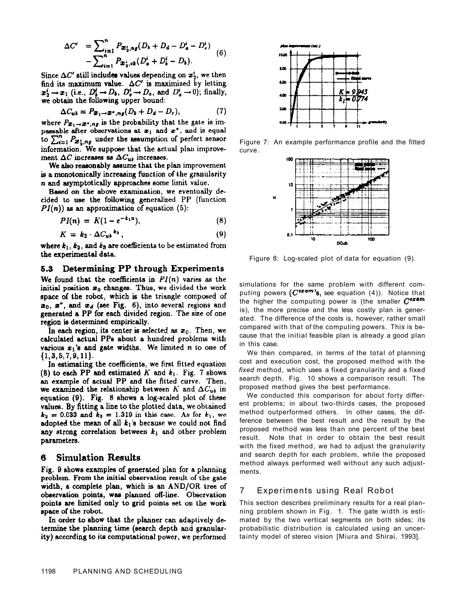$$
\Delta C' = \sum_{i=1}^{n} P_{\mathbf{x}_2^i, n\mathbf{g}}(D_b + D_d - D_a^i - D_c^i) - \sum_{i=1}^{n} P_{\mathbf{x}_2^i, o_k}(D_a^i + D_b^i - D_b).
$$
 (6)

Since  $\Delta C'$  still includes values depending on  $x_2^i$ , we then find its maximum value.  $\Delta C'$  is maximized by letting  $x_2^i \rightarrow x_1$  (i.e.,  $D_b^i \rightarrow D_b$ ,  $D_e^i \rightarrow D_b$ , and  $D_a^i \rightarrow 0$ ); finally, we obtain the following upper bound:

$$
\Delta C_{ub} = P_{\mathcal{Z}_1 \to \mathcal{Z}^*, ng}(D_b + D_d - D_c), \tag{7}
$$

where  $P_{\mathbf{x}_1 \to \mathbf{x}^*, n_\mathbf{f}}$  is the probability that the gate is impassable after observations at  $x_1$  and  $x^*$ , and is equal to  $\sum_{i=1}^{n} P_{\mathbf{x}_{i}^{t},ng}$  under the assumption of perfect sensor information. We suppose that the actual plan improvement  $\Delta C$  increases as  $\Delta C_{ub}$  increases.

We also reasonably assume that the plan improvement is a monotonically increasing function of the granularity  $n$  and asymptotically approaches some limit value.

Based on the above examination, we eventually decided to use the following generalized PP (function  $PI(n)$  as an approximation of equation (5):

$$
PI(n) = K(1 - e^{-k_1 n}), \tag{8}
$$

$$
K = k_2 \cdot \Delta C_{ub}^{k_3}, \qquad (9)
$$

where  $k_1$ ,  $k_2$ , and  $k_3$  are coefficients to be estimated from the experimental data.

### 5.3 Determining PP through Experiments

We found that the coefficients in  $PI(n)$  varies as the initial position  $x_0$  changes. Thus, we divided the work space of the robot, which is the triangle composed of  $x_0$ ,  $x^*$ , and  $x_d$  (see Fig. 6), into several regions and generated a PP for each divided region. The size of one region is determined empirically.

In each region, its center is selected as  $x_0$ . Then, we calculated actual PPs about a hundred problems with various  $x_1$ 's and gate widths. We limited n to one of  $\{1, 3, 5, 7, 9, 11\}.$ 

In estimating the coefficients, we first fitted equation (8) to each PP and estimated K and  $k_1$ . Fig. 7 shows an example of actual PP and the fitted curve. Then, we examined the relationship between K and  $\Delta C_{ub}$  in equation (9). Fig. 8 shows a log-scaled plot of these values. By fitting a line to the plotted data, we obtained  $k_2 = 0.033$  and  $k_3 = 1.319$  in this case. As for  $k_1$ , we adopted the mean of all  $k_1$ 's because we could not find any strong correlation between  $k_1$  and other problem parameters.

#### **Simulation Results** 6

Fig. 9 shows examples of generated plan for a planning problem. From the initial observation result of the gate width, a complete plan, which is an AND/OR tree of observation points, was planned off-line. Observation points are limited only to grid points set on the work space of the robot.

In order to show that the planner can adaptively determine the planning time (search depth and granularity) according to its computational power, we performed



Figure 7: An example performance profile and the fitted curve.



Figure 8: Log-scaled plot of data for equation (9).

simulations for the same problem with different computing powers  $(C^{\text{expam}})$ s, see equation (4)). Notice that the higher the computing power is (the smaller  $C^{\epsilon x 4m}$ is), the more precise and the less costly plan is generated. The difference of the costs is, however, rather small compared with that of the computing powers. This is because that the initial feasible plan is already a good plan in this case.

We then compared, in terms of the total of planning cost and execution cost, the proposed method with the *fixed* method, which uses a fixed granularity and a fixed search depth. Fig. 10 shows a comparison result. The proposed method gives the best performance.

We conducted this comparison for about forty different problems; in about two-thirds cases, the proposed method outperformed others. In other cases, the difference between the best result and the result by the proposed method was less than one percent of the best result. Note that in order to obtain the best result with the fixed method, we had to adjust the granularity and search depth for each problem, while the proposed method always performed well without any such adjustments.

## 7 Experiments using Real Robot

This section describes preliminary results for a real planning problem shown in Fig. 1. The gate width is estimated by the two vertical segments on both sides; its probabilistic distribution is calculated using an uncertainty model of stereo vision [Miura and Shirai, 1993].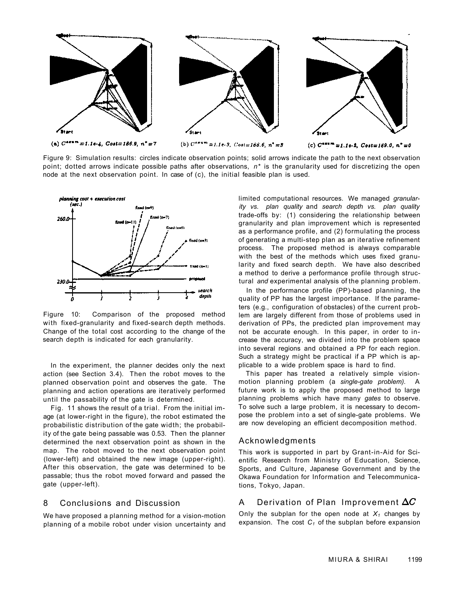

Figure 9: Simulation results: circles indicate observation points; solid arrows indicate the path to the next observation point; dotted arrows indicate possible paths after observations, *n\** is the granularity used for discretizing the open node at the next observation point. In case of (c), the initial feasible plan is used.



Figure 10: Comparison of the proposed method with fixed-granularity and fixed-search depth methods. Change of the total cost according to the change of the search depth is indicated for each granularity.

In the experiment, the planner decides only the next action (see Section 3.4). Then the robot moves to the planned observation point and observes the gate. The planning and action operations are iteratively performed until the passability of the gate is determined.

Fig. 11 shows the result of a trial. From the initial image (at lower-right in the figure), the robot estimated the probabilistic distribution of the gate width; the probability of the gate being passable was 0.53. Then the planner determined the next observation point as shown in the map. The robot moved to the next observation point (lower-left) and obtained the new image (upper-right). After this observation, the gate was determined to be passable; thus the robot moved forward and passed the gate (upper-left).

#### 8 Conclusions and Discussion

We have proposed a planning method for a vision-motion planning of a mobile robot under vision uncertainty and limited computational resources. We managed *granularity vs. plan quality* and *search depth vs. plan quality*  trade-offs by: (1) considering the relationship between granularity and plan improvement which is represented as a performance profile, and (2) formulating the process of generating a multi-step plan as an iterative refinement process. The proposed method is always comparable with the best of the methods which uses fixed granularity and fixed search depth. We have also described a method to derive a performance profile through structural *and* experimental analysis of the planning problem.

In the performance profile (PP)-based planning, the quality of PP has the largest importance. If the parameters (e.g., configuration of obstacles) of the current problem are largely different from those of problems used in derivation of PPs, the predicted plan improvement may not be accurate enough. In this paper, in order to increase the accuracy, we divided into the problem space into several regions and obtained a PP for each region. Such a strategy might be practical if a PP which is applicable to a wide problem space is hard to find.

This paper has treated a relatively simple visionmotion planning problem (a *single-gate problem).* A future work is to apply the proposed method to large planning problems which have many *gates* to observe. To solve such a large problem, it is necessary to decompose the problem into a set of single-gate problems. We are now developing an efficient decomposition method.

#### Acknowledgments

This work is supported in part by Grant-in-Aid for Scientific Research from Ministry of Education, Science, Sports, and Culture, Japanese Government and by the Okawa Foundation for Information and Telecommunications, Tokyo, Japan.

#### A Derivation of Plan Improvement  $\Delta C$

Only the subplan for the open node at  $X_1$  changes by expansion. The cost *C1* of the subplan before expansion